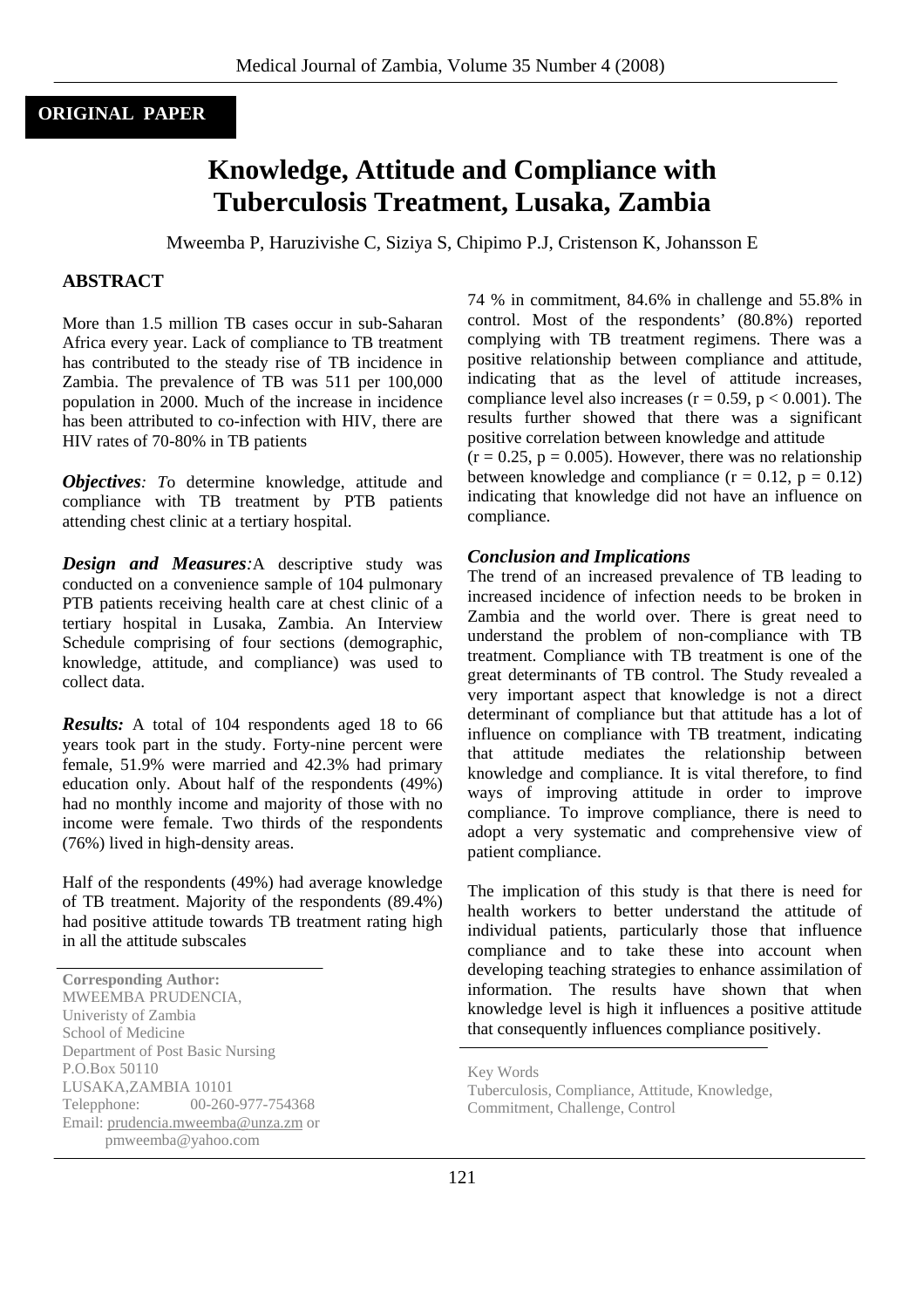# **Knowledge, Attitude and Compliance with Tuberculosis Treatment, Lusaka, Zambia**

Mweemba P, Haruzivishe C, Siziya S, Chipimo P.J, Cristenson K, Johansson E

#### **ABSTRACT**

More than 1.5 million TB cases occur in sub-Saharan Africa every year. Lack of compliance to TB treatment has contributed to the steady rise of TB incidence in Zambia. The prevalence of TB was 511 per 100,000 population in 2000. Much of the increase in incidence has been attributed to co-infection with HIV, there are HIV rates of 70-80% in TB patients

*Objectives: T*o determine knowledge, attitude and compliance with TB treatment by PTB patients attending chest clinic at a tertiary hospital.

*Design and Measures:*A descriptive study was conducted on a convenience sample of 104 pulmonary PTB patients receiving health care at chest clinic of a tertiary hospital in Lusaka, Zambia. An Interview Schedule comprising of four sections (demographic, knowledge, attitude, and compliance) was used to collect data.

*Results:* A total of 104 respondents aged 18 to 66 years took part in the study. Forty-nine percent were female, 51.9% were married and 42.3% had primary education only. About half of the respondents (49%) had no monthly income and majority of those with no income were female. Two thirds of the respondents (76%) lived in high-density areas.

Half of the respondents (49%) had average knowledge of TB treatment. Majority of the respondents (89.4%) had positive attitude towards TB treatment rating high in all the attitude subscales

**Corresponding Author:**  MWEEMBA PRUDENCIA, Univeristy of Zambia School of Medicine Department of Post Basic Nursing P.O.Box 50110 LUSAKA,ZAMBIA 10101 Telepphone: 00-260-977-754368 Email: [prudencia.mweemba@unza.zm](mailto:prudencia.mweemba@unza.zm) or pmweemba@yahoo.com

74 % in commitment, 84.6% in challenge and 55.8% in control. Most of the respondents' (80.8%) reported complying with TB treatment regimens. There was a positive relationship between compliance and attitude, indicating that as the level of attitude increases, compliance level also increases ( $r = 0.59$ ,  $p < 0.001$ ). The results further showed that there was a significant positive correlation between knowledge and attitude  $(r = 0.25, p = 0.005)$ . However, there was no relationship between knowledge and compliance  $(r = 0.12, p = 0.12)$ indicating that knowledge did not have an influence on compliance.

#### *Conclusion and Implications*

The trend of an increased prevalence of TB leading to increased incidence of infection needs to be broken in Zambia and the world over. There is great need to understand the problem of non-compliance with TB treatment. Compliance with TB treatment is one of the great determinants of TB control. The Study revealed a very important aspect that knowledge is not a direct determinant of compliance but that attitude has a lot of influence on compliance with TB treatment, indicating that attitude mediates the relationship between knowledge and compliance. It is vital therefore, to find ways of improving attitude in order to improve compliance. To improve compliance, there is need to adopt a very systematic and comprehensive view of patient compliance.

The implication of this study is that there is need for health workers to better understand the attitude of individual patients, particularly those that influence compliance and to take these into account when developing teaching strategies to enhance assimilation of information. The results have shown that when knowledge level is high it influences a positive attitude that consequently influences compliance positively.

Key Words

Tuberculosis, Compliance, Attitude, Knowledge, Commitment, Challenge, Control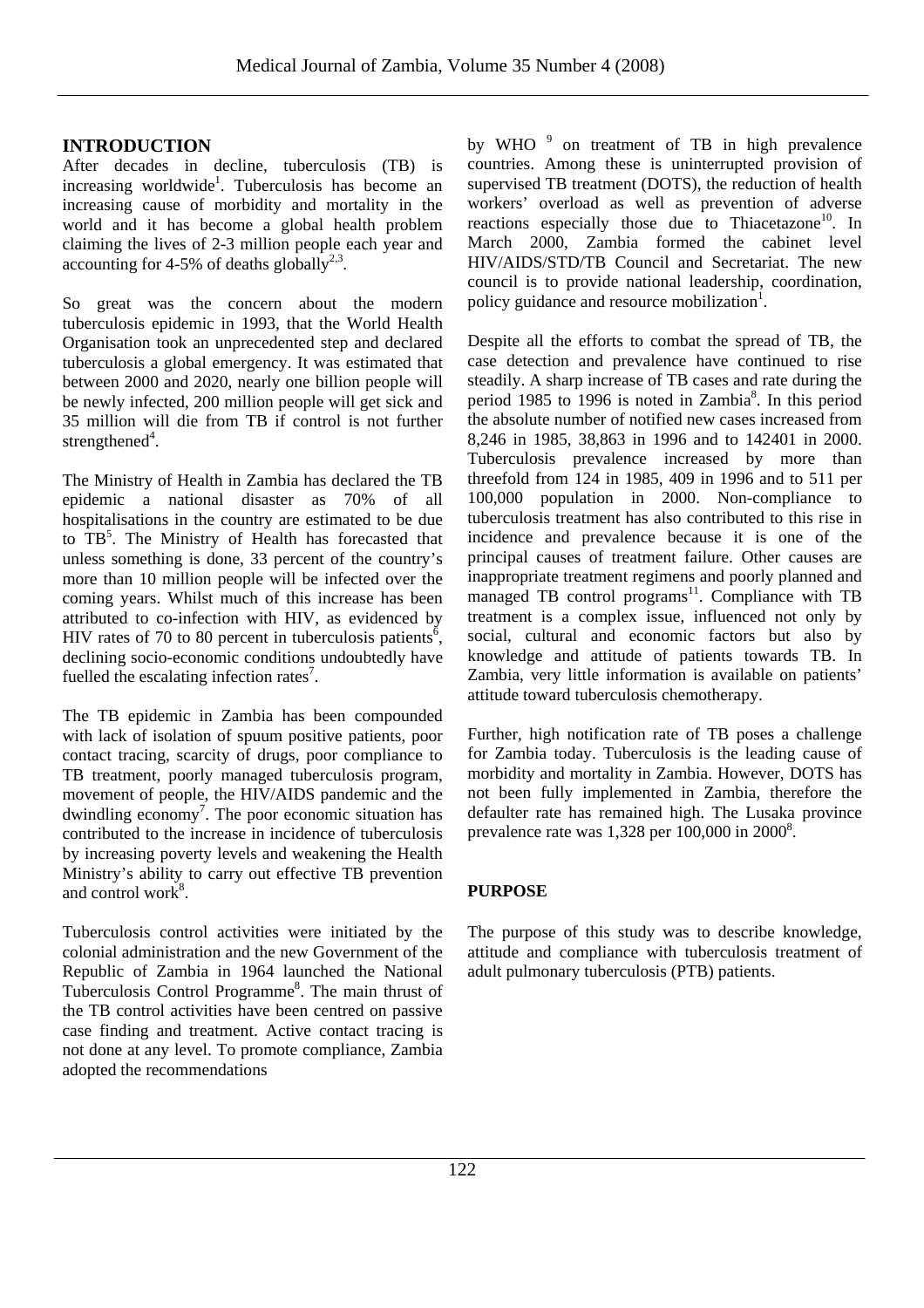### **INTRODUCTION**

After decades in decline, tuberculosis (TB) is increasing worldwide<sup>1</sup>. Tuberculosis has become an increasing cause of morbidity and mortality in the world and it has become a global health problem claiming the lives of 2-3 million people each year and accounting for 4-5% of deaths globally<sup>2,3</sup>.

So great was the concern about the modern tuberculosis epidemic in 1993, that the World Health Organisation took an unprecedented step and declared tuberculosis a global emergency. It was estimated that between 2000 and 2020, nearly one billion people will be newly infected, 200 million people will get sick and 35 million will die from TB if control is not further strengthened<sup>4</sup>.

The Ministry of Health in Zambia has declared the TB epidemic a national disaster as 70% of all hospitalisations in the country are estimated to be due to  $TB<sup>5</sup>$ . The Ministry of Health has forecasted that unless something is done, 33 percent of the country's more than 10 million people will be infected over the coming years. Whilst much of this increase has been attributed to co-infection with HIV, as evidenced by HIV rates of 70 to 80 percent in tuberculosis patients<sup> $\delta$ </sup>, declining socio-economic conditions undoubtedly have fuelled the escalating infection rates<sup>7</sup>.

The TB epidemic in Zambia has been compounded with lack of isolation of spuum positive patients, poor contact tracing, scarcity of drugs, poor compliance to TB treatment, poorly managed tuberculosis program, movement of people, the HIV/AIDS pandemic and the dwindling economy<sup>7</sup>. The poor economic situation has contributed to the increase in incidence of tuberculosis by increasing poverty levels and weakening the Health Ministry's ability to carry out effective TB prevention and control work<sup>8</sup>.

Tuberculosis control activities were initiated by the colonial administration and the new Government of the Republic of Zambia in 1964 launched the National Tuberculosis Control Programme<sup>8</sup>. The main thrust of the TB control activities have been centred on passive case finding and treatment. Active contact tracing is not done at any level. To promote compliance, Zambia adopted the recommendations

by WHO<sup>9</sup> on treatment of TB in high prevalence countries. Among these is uninterrupted provision of supervised TB treatment (DOTS), the reduction of health workers' overload as well as prevention of adverse reactions especially those due to Thiacetazone<sup>10</sup>. In March 2000, Zambia formed the cabinet level HIV/AIDS/STD/TB Council and Secretariat. The new council is to provide national leadership, coordination, policy guidance and resource mobilization<sup>1</sup>.

Despite all the efforts to combat the spread of TB, the case detection and prevalence have continued to rise steadily. A sharp increase of TB cases and rate during the period 1985 to  $1996$  is noted in Zambia $8$ . In this period the absolute number of notified new cases increased from 8,246 in 1985, 38,863 in 1996 and to 142401 in 2000. Tuberculosis prevalence increased by more than threefold from 124 in 1985, 409 in 1996 and to 511 per 100,000 population in 2000. Non-compliance to tuberculosis treatment has also contributed to this rise in incidence and prevalence because it is one of the principal causes of treatment failure. Other causes are inappropriate treatment regimens and poorly planned and managed TB control programs<sup>11</sup>. Compliance with TB treatment is a complex issue, influenced not only by social, cultural and economic factors but also by knowledge and attitude of patients towards TB. In Zambia, very little information is available on patients' attitude toward tuberculosis chemotherapy.

Further, high notification rate of TB poses a challenge for Zambia today. Tuberculosis is the leading cause of morbidity and mortality in Zambia. However, DOTS has not been fully implemented in Zambia, therefore the defaulter rate has remained high. The Lusaka province prevalence rate was  $1,328$  per  $100,000$  in  $2000^8$ .

#### **PURPOSE**

The purpose of this study was to describe knowledge, attitude and compliance with tuberculosis treatment of adult pulmonary tuberculosis (PTB) patients.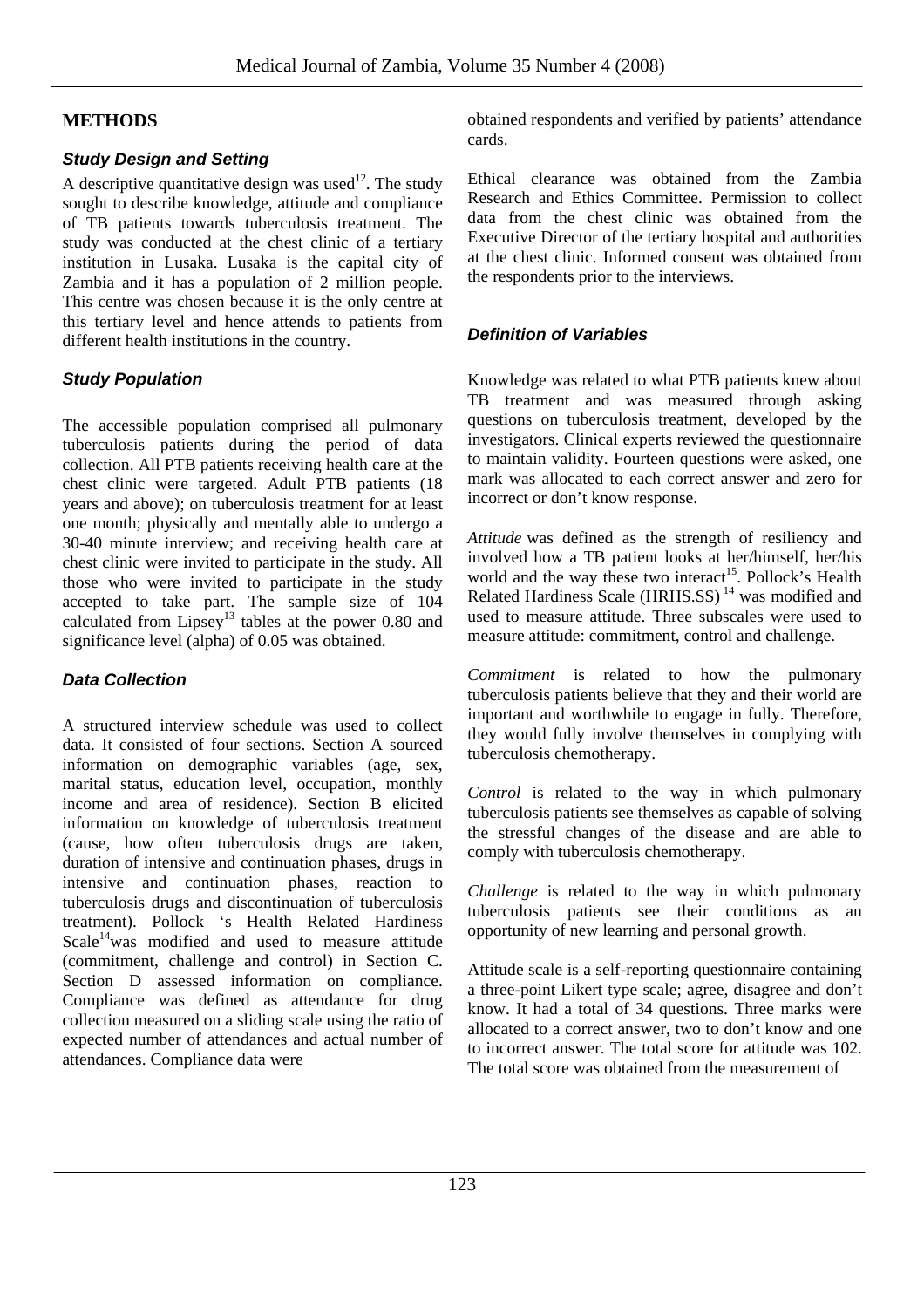# **METHODS**

# *Study Design and Setting*

A descriptive quantitative design was used<sup>12</sup>. The study sought to describe knowledge, attitude and compliance of TB patients towards tuberculosis treatment. The study was conducted at the chest clinic of a tertiary institution in Lusaka. Lusaka is the capital city of Zambia and it has a population of 2 million people. This centre was chosen because it is the only centre at this tertiary level and hence attends to patients from different health institutions in the country.

# *Study Population*

The accessible population comprised all pulmonary tuberculosis patients during the period of data collection. All PTB patients receiving health care at the chest clinic were targeted. Adult PTB patients (18 years and above); on tuberculosis treatment for at least one month; physically and mentally able to undergo a 30-40 minute interview; and receiving health care at chest clinic were invited to participate in the study. All those who were invited to participate in the study accepted to take part. The sample size of 104 calculated from Lipsey<sup>13</sup> tables at the power  $0.80$  and significance level (alpha) of 0.05 was obtained.

# *Data Collection*

A structured interview schedule was used to collect data. It consisted of four sections. Section A sourced information on demographic variables (age, sex, marital status, education level, occupation, monthly income and area of residence). Section B elicited information on knowledge of tuberculosis treatment (cause, how often tuberculosis drugs are taken, duration of intensive and continuation phases, drugs in intensive and continuation phases, reaction to tuberculosis drugs and discontinuation of tuberculosis treatment). Pollock 's Health Related Hardiness  $Scale<sup>14</sup>$  was modified and used to measure attitude (commitment, challenge and control) in Section C. Section D assessed information on compliance. Compliance was defined as attendance for drug collection measured on a sliding scale using the ratio of expected number of attendances and actual number of attendances. Compliance data were

obtained respondents and verified by patients' attendance cards.

Ethical clearance was obtained from the Zambia Research and Ethics Committee. Permission to collect data from the chest clinic was obtained from the Executive Director of the tertiary hospital and authorities at the chest clinic. Informed consent was obtained from the respondents prior to the interviews.

# *Definition of Variables*

Knowledge was related to what PTB patients knew about TB treatment and was measured through asking questions on tuberculosis treatment, developed by the investigators. Clinical experts reviewed the questionnaire to maintain validity. Fourteen questions were asked, one mark was allocated to each correct answer and zero for incorrect or don't know response.

*Attitude* was defined as the strength of resiliency and involved how a TB patient looks at her/himself, her/his world and the way these two interact<sup>15</sup>. Pollock's Health Related Hardiness Scale (HRHS.SS)<sup>14</sup> was modified and used to measure attitude. Three subscales were used to measure attitude: commitment, control and challenge.

*Commitment* is related to how the pulmonary tuberculosis patients believe that they and their world are important and worthwhile to engage in fully. Therefore, they would fully involve themselves in complying with tuberculosis chemotherapy.

*Control* is related to the way in which pulmonary tuberculosis patients see themselves as capable of solving the stressful changes of the disease and are able to comply with tuberculosis chemotherapy.

*Challenge* is related to the way in which pulmonary tuberculosis patients see their conditions as an opportunity of new learning and personal growth.

Attitude scale is a self-reporting questionnaire containing a three-point Likert type scale; agree, disagree and don't know. It had a total of 34 questions. Three marks were allocated to a correct answer, two to don't know and one to incorrect answer. The total score for attitude was 102. The total score was obtained from the measurement of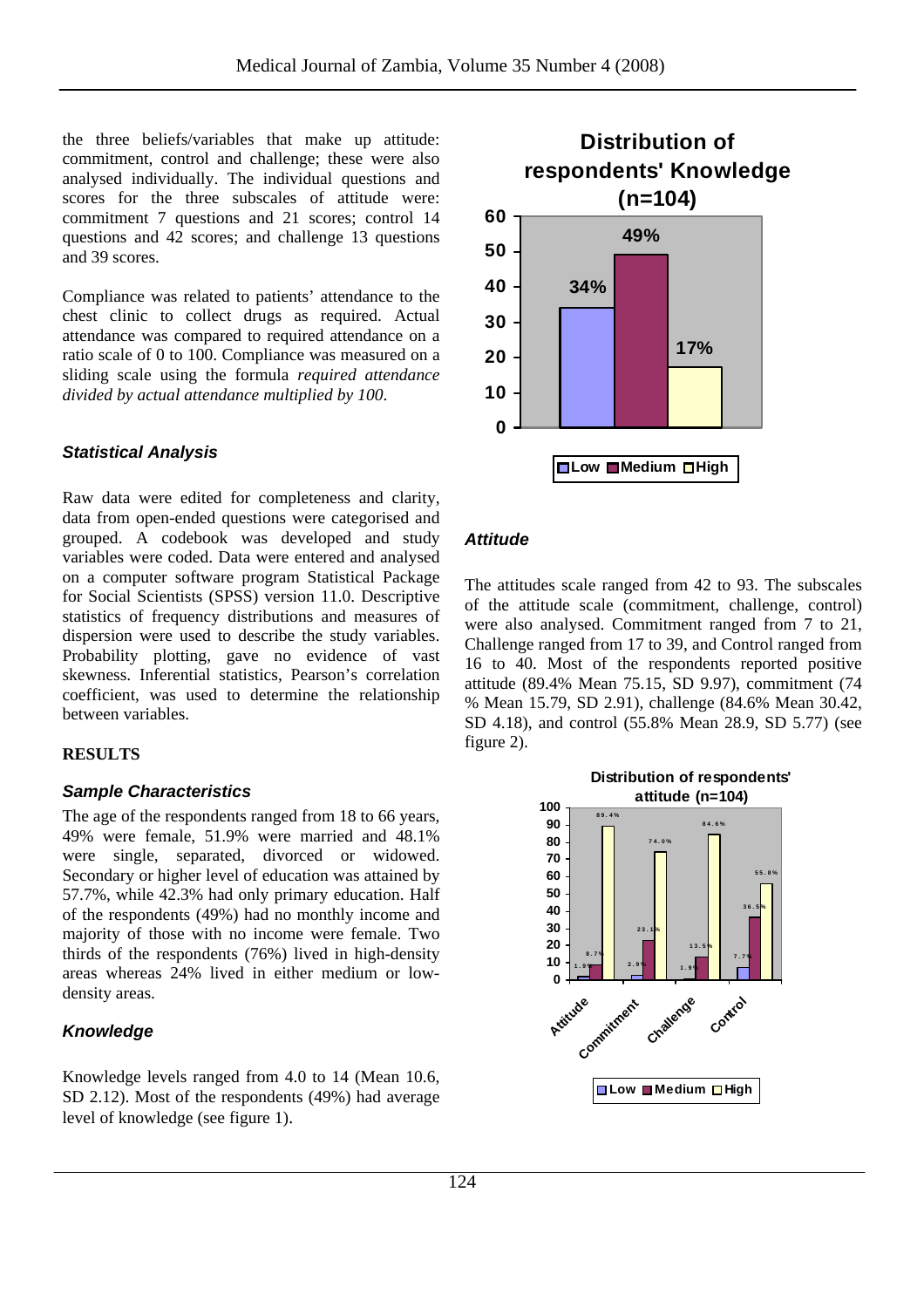the three beliefs/variables that make up attitude: commitment, control and challenge; these were also analysed individually. The individual questions and scores for the three subscales of attitude were: commitment 7 questions and 21 scores; control 14 questions and 42 scores; and challenge 13 questions and 39 scores.

Compliance was related to patients' attendance to the chest clinic to collect drugs as required. Actual attendance was compared to required attendance on a ratio scale of 0 to 100. Compliance was measured on a sliding scale using the formula *required attendance divided by actual attendance multiplied by 100*.

# *Statistical Analysis*

Raw data were edited for completeness and clarity, data from open-ended questions were categorised and grouped. A codebook was developed and study variables were coded. Data were entered and analysed on a computer software program Statistical Package for Social Scientists (SPSS) version 11.0. Descriptive statistics of frequency distributions and measures of dispersion were used to describe the study variables. Probability plotting, gave no evidence of vast skewness. Inferential statistics, Pearson's correlation coefficient, was used to determine the relationship between variables.

#### **RESULTS**

#### *Sample Characteristics*

The age of the respondents ranged from 18 to 66 years, 49% were female, 51.9% were married and 48.1% were single, separated, divorced or widowed. Secondary or higher level of education was attained by 57.7%, while 42.3% had only primary education. Half of the respondents (49%) had no monthly income and majority of those with no income were female. Two thirds of the respondents (76%) lived in high-density areas whereas 24% lived in either medium or lowdensity areas.

# *Knowledge*

Knowledge levels ranged from 4.0 to 14 (Mean 10.6, SD 2.12). Most of the respondents (49%) had average level of knowledge (see figure 1).



### *Attitude*

The attitudes scale ranged from 42 to 93. The subscales of the attitude scale (commitment, challenge, control) were also analysed. Commitment ranged from 7 to 21, Challenge ranged from 17 to 39, and Control ranged from 16 to 40. Most of the respondents reported positive attitude (89.4% Mean 75.15, SD 9.97), commitment (74 % Mean 15.79, SD 2.91), challenge (84.6% Mean 30.42, SD 4.18), and control (55.8% Mean 28.9, SD 5.77) (see figure 2).

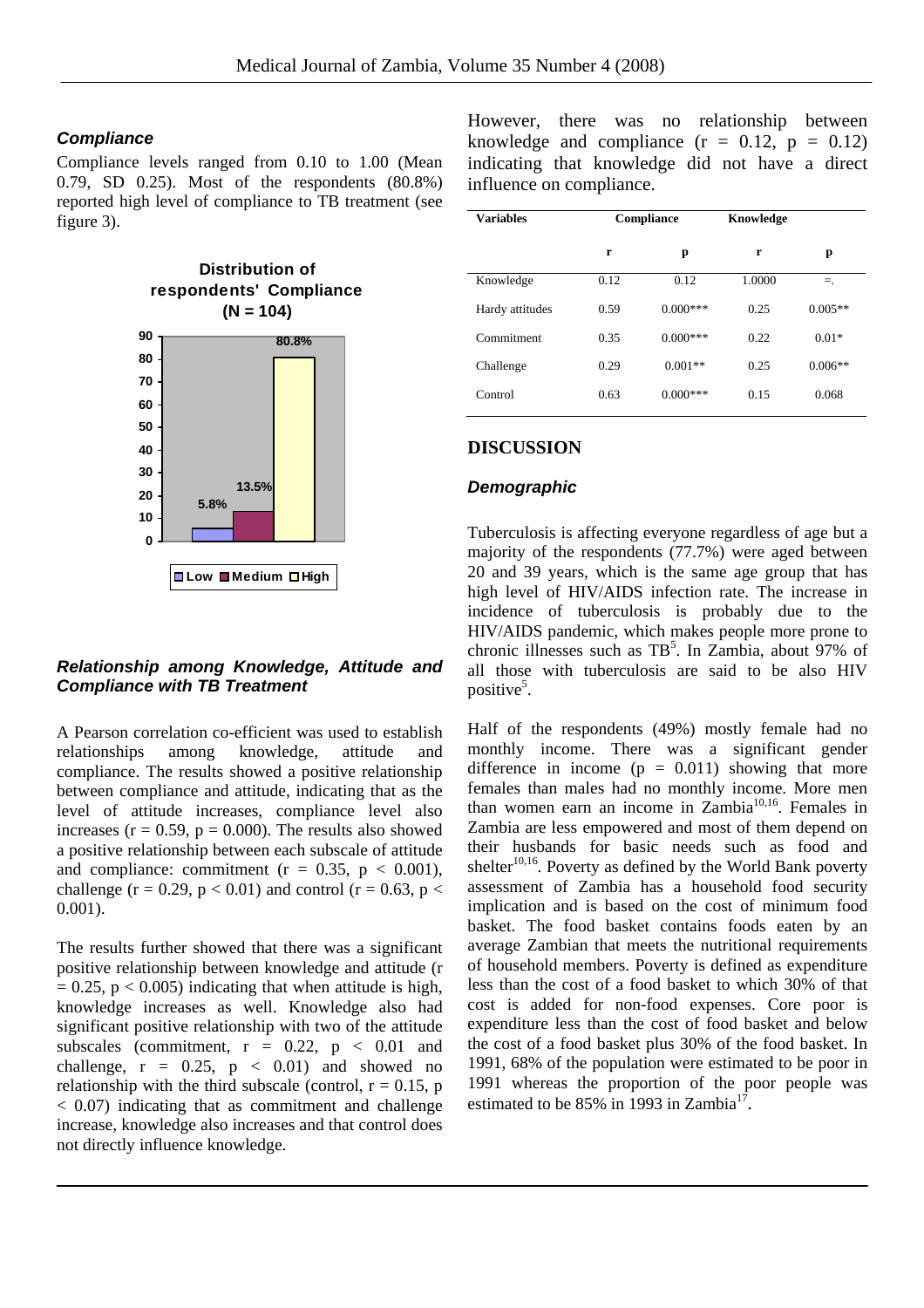#### *Compliance*

Compliance levels ranged from 0.10 to 1.00 (Mean 0.79, SD 0.25). Most of the respondents (80.8%) reported high level of compliance to TB treatment (see figure 3).



#### *Relationship among Knowledge, Attitude and Compliance with TB Treatment*

A Pearson correlation co-efficient was used to establish relationships among knowledge, attitude and compliance. The results showed a positive relationship between compliance and attitude, indicating that as the level of attitude increases, compliance level also increases ( $r = 0.59$ ,  $p = 0.000$ ). The results also showed a positive relationship between each subscale of attitude and compliance: commitment ( $r = 0.35$ ,  $p < 0.001$ ), challenge ( $r = 0.29$ ,  $p < 0.01$ ) and control ( $r = 0.63$ ,  $p <$ 0.001).

The results further showed that there was a significant positive relationship between knowledge and attitude (r  $= 0.25$ , p < 0.005) indicating that when attitude is high, knowledge increases as well. Knowledge also had significant positive relationship with two of the attitude subscales (commitment,  $r = 0.22$ ,  $p < 0.01$  and challenge,  $r = 0.25$ ,  $p < 0.01$ ) and showed no relationship with the third subscale (control,  $r = 0.15$ , p  $< 0.07$ ) indicating that as commitment and challenge increase, knowledge also increases and that control does not directly influence knowledge.

 $\overline{a}$ 

However, there was no relationship between knowledge and compliance  $(r = 0.12, p = 0.12)$ indicating that knowledge did not have a direct influence on compliance.

| <b>Variables</b> | Compliance |            | Knowledge |           |
|------------------|------------|------------|-----------|-----------|
|                  | r          | p          | r         | p         |
| Knowledge        | 0.12       | 0.12       | 1.0000    | Ξ.        |
| Hardy attitudes  | 0.59       | $0.000***$ | 0.25      | $0.005**$ |
| Commitment       | 0.35       | $0.000***$ | 0.22      | $0.01*$   |
| Challenge        | 0.29       | $0.001**$  | 0.25      | $0.006**$ |
| Control          | 0.63       | $0.000***$ | 0.15      | 0.068     |

#### **DISCUSSION**

#### *Demographic*

Tuberculosis is affecting everyone regardless of age but a majority of the respondents (77.7%) were aged between 20 and 39 years, which is the same age group that has high level of HIV/AIDS infection rate. The increase in incidence of tuberculosis is probably due to the HIV/AIDS pandemic, which makes people more prone to chronic illnesses such as  $TB^5$ . In Zambia, about 97% of all those with tuberculosis are said to be also HIV positive<sup>5</sup>.

Half of the respondents (49%) mostly female had no monthly income. There was a significant gender difference in income  $(p = 0.011)$  showing that more females than males had no monthly income. More men than women earn an income in Zambia<sup>10,16</sup>. Females in Zambia are less empowered and most of them depend on their husbands for basic needs such as food and shelter $10,16$ . Poverty as defined by the World Bank poverty assessment of Zambia has a household food security implication and is based on the cost of minimum food basket. The food basket contains foods eaten by an average Zambian that meets the nutritional requirements of household members. Poverty is defined as expenditure less than the cost of a food basket to which 30% of that cost is added for non-food expenses. Core poor is expenditure less than the cost of food basket and below the cost of a food basket plus 30% of the food basket. In 1991, 68% of the population were estimated to be poor in 1991 whereas the proportion of the poor people was estimated to be 85% in 1993 in Zambia<sup>17</sup>.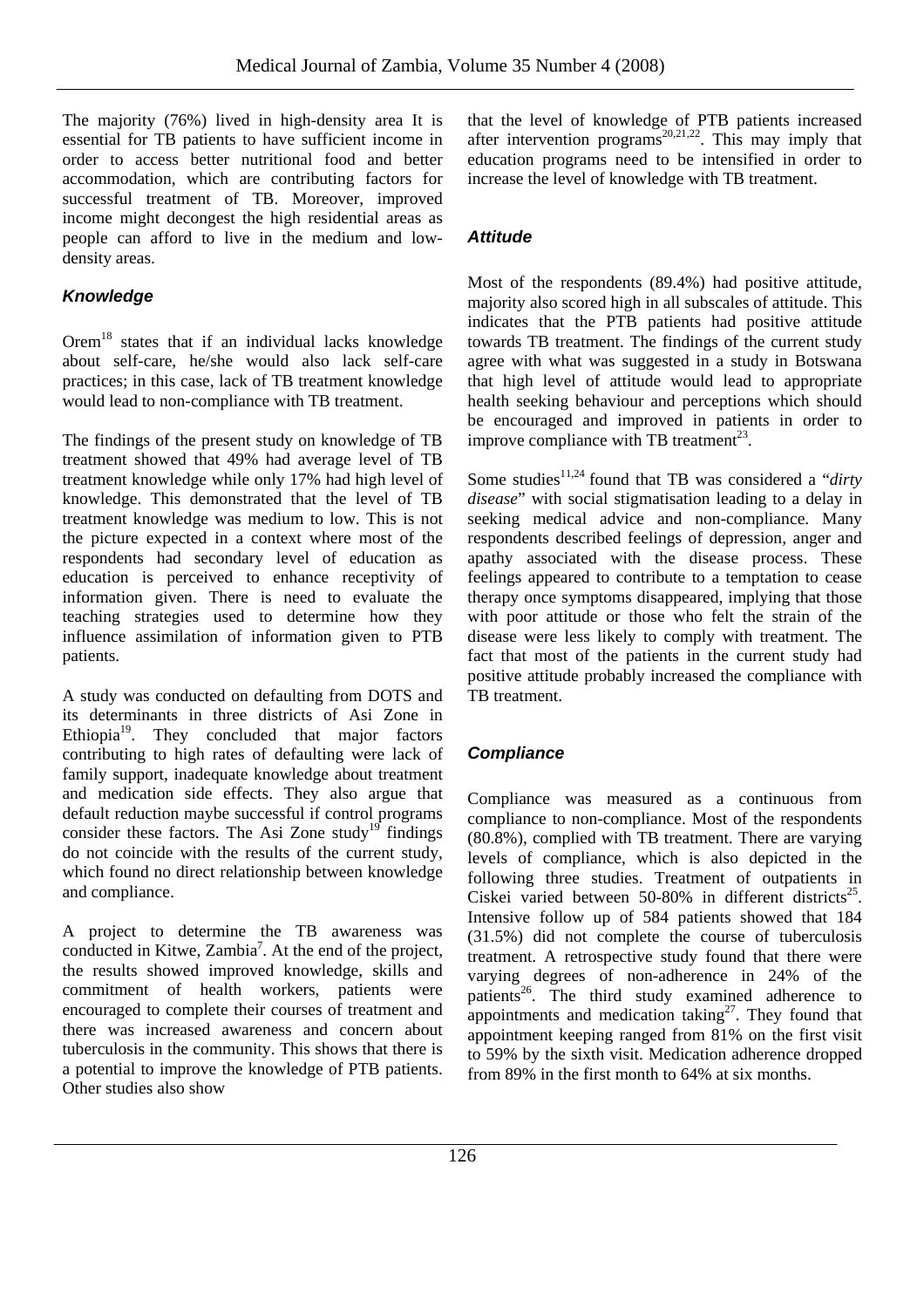The majority (76%) lived in high-density area It is essential for TB patients to have sufficient income in order to access better nutritional food and better accommodation, which are contributing factors for successful treatment of TB. Moreover, improved income might decongest the high residential areas as people can afford to live in the medium and lowdensity areas.

# *Knowledge*

 $Orem<sup>18</sup>$  states that if an individual lacks knowledge about self-care, he/she would also lack self-care practices; in this case, lack of TB treatment knowledge would lead to non-compliance with TB treatment.

The findings of the present study on knowledge of TB treatment showed that 49% had average level of TB treatment knowledge while only 17% had high level of knowledge. This demonstrated that the level of TB treatment knowledge was medium to low. This is not the picture expected in a context where most of the respondents had secondary level of education as education is perceived to enhance receptivity of information given. There is need to evaluate the teaching strategies used to determine how they influence assimilation of information given to PTB patients.

A study was conducted on defaulting from DOTS and its determinants in three districts of Asi Zone in Ethiopia<sup>19</sup>. They concluded that major factors contributing to high rates of defaulting were lack of family support, inadequate knowledge about treatment and medication side effects. They also argue that default reduction maybe successful if control programs consider these factors. The Asi Zone study<sup>19</sup> findings do not coincide with the results of the current study, which found no direct relationship between knowledge and compliance.

A project to determine the TB awareness was conducted in Kitwe, Zambia<sup>7</sup>. At the end of the project, the results showed improved knowledge, skills and commitment of health workers, patients were encouraged to complete their courses of treatment and there was increased awareness and concern about tuberculosis in the community. This shows that there is a potential to improve the knowledge of PTB patients. Other studies also show

that the level of knowledge of PTB patients increased after intervention programs<sup>20,21,22</sup>. This may imply that education programs need to be intensified in order to increase the level of knowledge with TB treatment.

# *Attitude*

Most of the respondents (89.4%) had positive attitude, majority also scored high in all subscales of attitude. This indicates that the PTB patients had positive attitude towards TB treatment. The findings of the current study agree with what was suggested in a study in Botswana that high level of attitude would lead to appropriate health seeking behaviour and perceptions which should be encouraged and improved in patients in order to improve compliance with TB treatment<sup>23</sup>.

Some studies<sup>11,24</sup> found that TB was considered a "*dirty disease*" with social stigmatisation leading to a delay in seeking medical advice and non-compliance. Many respondents described feelings of depression, anger and apathy associated with the disease process. These feelings appeared to contribute to a temptation to cease therapy once symptoms disappeared, implying that those with poor attitude or those who felt the strain of the disease were less likely to comply with treatment. The fact that most of the patients in the current study had positive attitude probably increased the compliance with TB treatment.

# *Compliance*

Compliance was measured as a continuous from compliance to non-compliance. Most of the respondents (80.8%), complied with TB treatment. There are varying levels of compliance, which is also depicted in the following three studies. Treatment of outpatients in Ciskei varied between 50-80% in different districts<sup>25</sup>. Intensive follow up of 584 patients showed that 184 (31.5%) did not complete the course of tuberculosis treatment. A retrospective study found that there were varying degrees of non-adherence in 24% of the patients<sup>26</sup>. The third study examined adherence to appointments and medication taking<sup>27</sup>. They found that appointment keeping ranged from 81% on the first visit to 59% by the sixth visit. Medication adherence dropped from 89% in the first month to 64% at six months.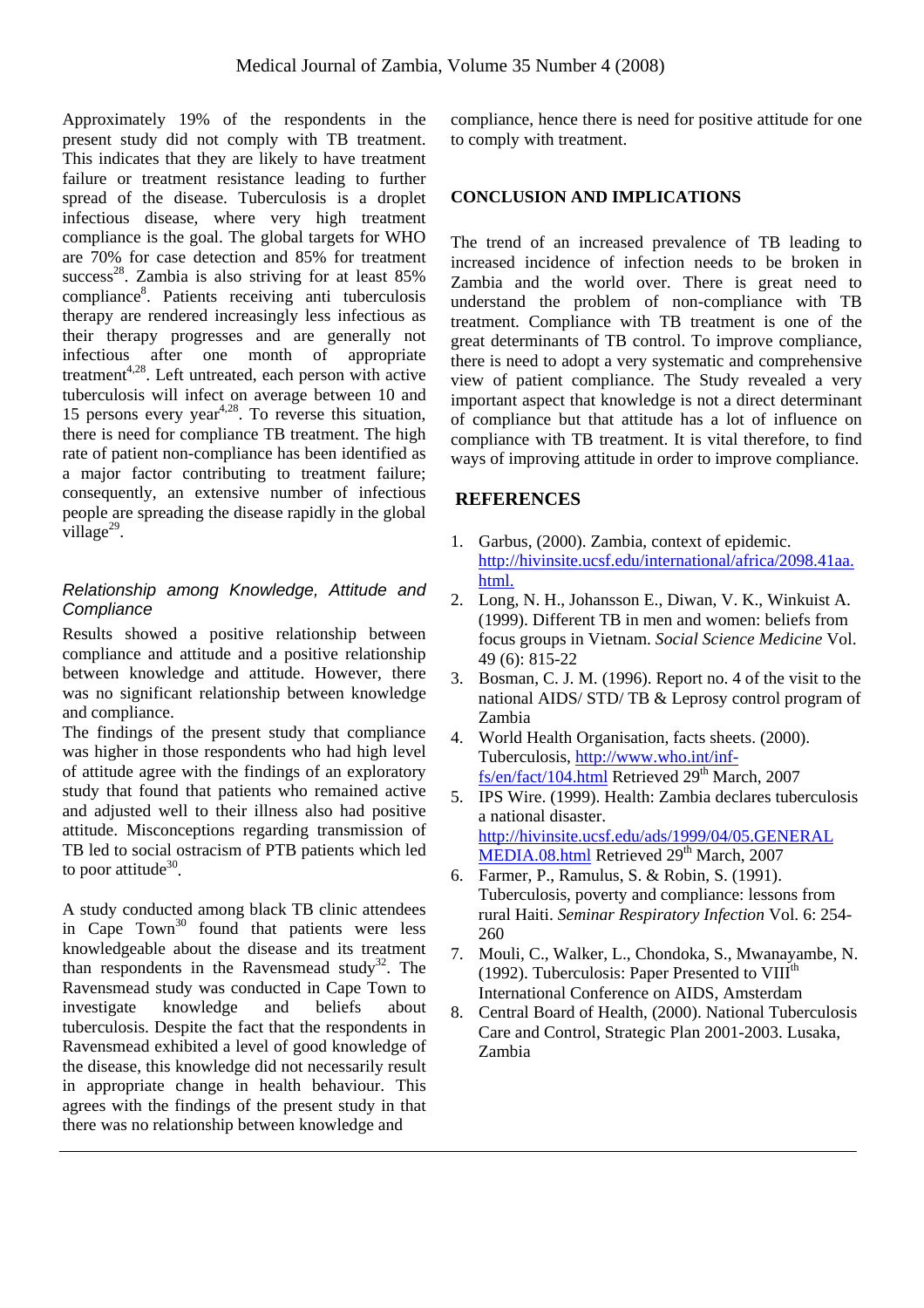Approximately 19% of the respondents in the present study did not comply with TB treatment. This indicates that they are likely to have treatment failure or treatment resistance leading to further spread of the disease. Tuberculosis is a droplet infectious disease, where very high treatment compliance is the goal. The global targets for WHO are 70% for c ase detection and 85% for treatment success<sup>28</sup>. Zambia is also striving for at least  $85\%$ compliance<sup>8</sup>. Patients receiving anti tuberculosis therapy are rendered increasingly less infectious as their therapy progresses and are generally not infectious after one month of appropriate treatment<sup>4,28</sup>. Left untreated, each person with active tuberculosis will infect on average between 10 and 15 persons every year<sup> $4,28$ </sup>. To reverse this situation, there is need for compliance TB treatment. The high rate of patient non-compliance has been identified as a major factor contributing to treatment failure; consequently, an extensive number of infectious people are spreading the disease rapidly in the global village<sup>29</sup>.

#### *Relationship among Knowledge, Attitude and Compliance*

compliance and attitude and a positive relationship between knowledge and attitude. However, there Results showed a positive relationship between was no significant relationship between knowledge and compliance.

The findings of the present study that compliance was higher in those respondents who had high level of attitude agree with the findings of an exploratory study that found that patients who remained active and adjusted well to their illness also had positive attitude. Misconceptions regarding transmission of TB led to social ostracism of PTB patients which led to poor attitude<sup>30</sup>.

A study conducted among black TB clinic attendees in appropriate change in health behaviour. This agrees with the findings of the present study in that there was no relationship between knowledge and in Cape  $Town<sup>30</sup>$  found that patients were less knowledgeable about the disease and its treatment than respondents in the Ravensmead study<sup>32</sup>. The Ravensmead study was conducted in Cape Town to investigate knowledge and beliefs about tuberculosis. Despite the fact that the respondents in Ravensmead exhibited a level of good knowledge of the disease, this knowledge did not necessarily result co mpliance, hence there is need for positive attitude for one t o comply with treatment.

#### **C NCLUSION AND IMPLICATIONS O**

The trend of an increased prevalence of TB leading to increased incidence of infection needs to be broken in Za mbia and the world over. There is great need to un derstand the problem of non-compliance with TB tre atment. Compliance with TB treatment is one of the great determinants of TB control. To improve compliance, vi ew of patient compliance. The Study revealed a very im portant aspect that knowledge is not a direct determinant of compliance but that attitude has a lot of influence on compliance with TB treatment. It is vital therefore, to find ways of improving attitude in order to improve compliance. th ere is need to adopt a very systematic and comprehensive

### **R EFERENCES**

- 1. Garbus, (2000). Zambia, context of epidemic. http://hivinsite.ucsf.edu/international/africa/2098.41aa. html.
- Long, N. H., Johansson E., Diwan, V. K., Winkuist A. 2. (1999). Different TB in men and women: beliefs from focus groups in Vietnam. *Social Science Medicine* Vol. 49 (6): 815-22
- Bosman, C. J. M. (1996). Report no. 4 of the visit to the 3. national AIDS/ STD/ TB & Leprosy control program of Zambia
- World Health Organisation, facts sheets. (2000). 4. Tuberculosis, http://www.who.int/inffs/en/fact/104.html Retrieved  $29<sup>th</sup>$  March, 2007
- 5. IPS Wire. (1999). Health: Zambia declares tuberculosis a national disaster. http://hivinsite.ucsf.edu/ads/1999/04/05.GENERAL MEDIA.08.html Retrieved 29<sup>th</sup> March, 2007
- Farmer, P., Ramulus, S. & Robin, S. (1991). 6. Tuberculosis, poverty and compliance: lessons from rural Haiti. *Seminar Respiratory Infection* Vol. 6: 254- 260
- 7. Mouli, C., Walker, L., Chondoka, S., Mwanayambe, N. (1992). Tuberculosis: Paper Presented to VIII<sup>th</sup> International Conference on AIDS, Amsterdam
- 8. Central Board of Health, (2000). National Tuberculosis Care and Control, Strategic Plan 2001-2003. Lusaka, Zambia